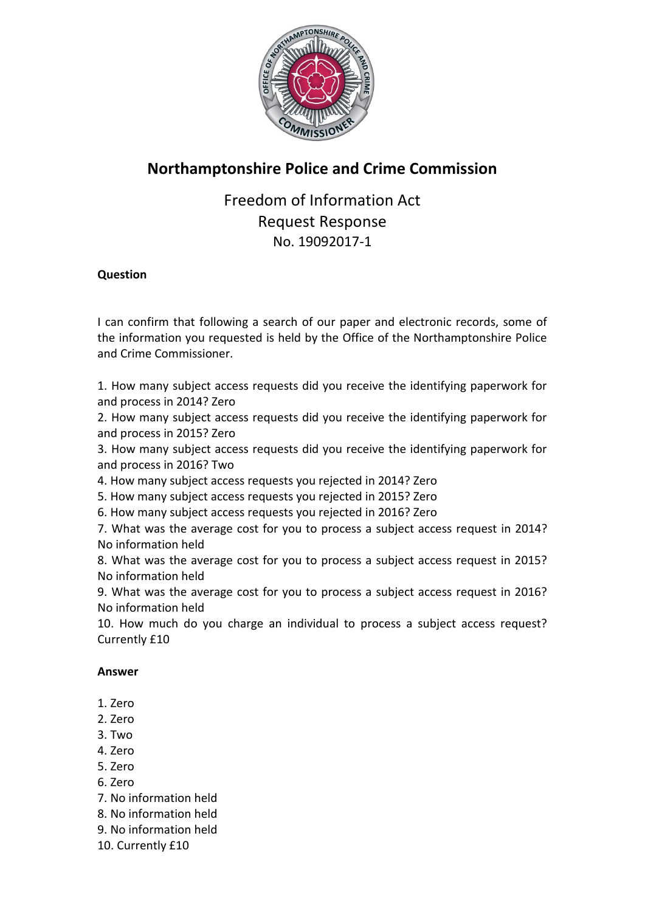

## **Northamptonshire Police and Crime Commission**

Freedom of Information Act Request Response No. 19092017-1

## **Question**

I can confirm that following a search of our paper and electronic records, some of the information you requested is held by the Office of the Northamptonshire Police and Crime Commissioner.

1. How many subject access requests did you receive the identifying paperwork for and process in 2014? Zero

2. How many subject access requests did you receive the identifying paperwork for and process in 2015? Zero

3. How many subject access requests did you receive the identifying paperwork for and process in 2016? Two

4. How many subject access requests you rejected in 2014? Zero

5. How many subject access requests you rejected in 2015? Zero

6. How many subject access requests you rejected in 2016? Zero

7. What was the average cost for you to process a subject access request in 2014? No information held

8. What was the average cost for you to process a subject access request in 2015? No information held

9. What was the average cost for you to process a subject access request in 2016? No information held

10. How much do you charge an individual to process a subject access request? Currently £10

## **Answer**

- 1. Zero
- 2. Zero
- 3. Two
- 4. Zero
- 5. Zero
- 6. Zero
- 7. No information held
- 8. No information held
- 9. No information held
- 10. Currently £10